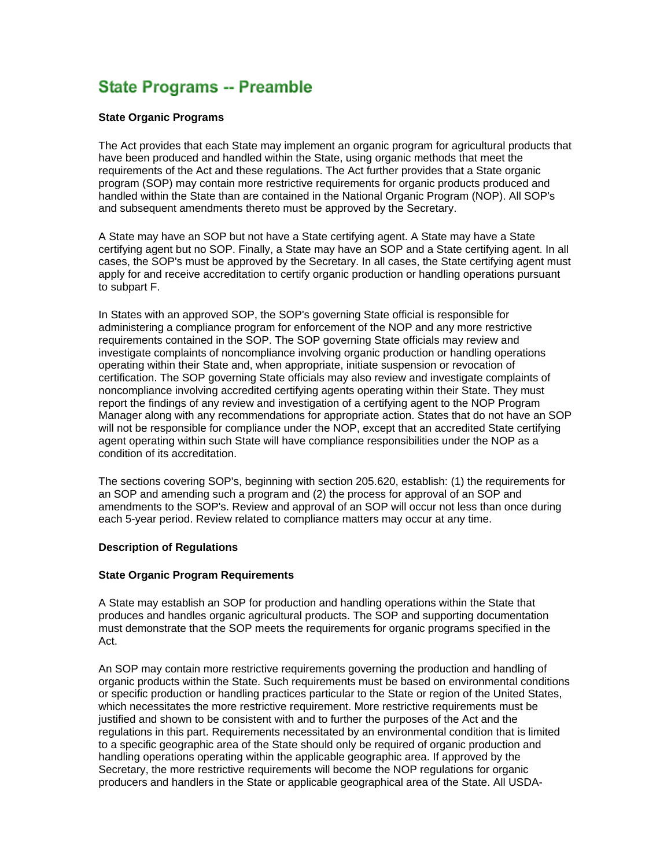# **State Programs -- Preamble**

## **State Organic Programs**

The Act provides that each State may implement an organic program for agricultural products that have been produced and handled within the State, using organic methods that meet the requirements of the Act and these regulations. The Act further provides that a State organic program (SOP) may contain more restrictive requirements for organic products produced and handled within the State than are contained in the National Organic Program (NOP). All SOP's and subsequent amendments thereto must be approved by the Secretary.

A State may have an SOP but not have a State certifying agent. A State may have a State certifying agent but no SOP. Finally, a State may have an SOP and a State certifying agent. In all cases, the SOP's must be approved by the Secretary. In all cases, the State certifying agent must apply for and receive accreditation to certify organic production or handling operations pursuant to subpart F.

In States with an approved SOP, the SOP's governing State official is responsible for administering a compliance program for enforcement of the NOP and any more restrictive requirements contained in the SOP. The SOP governing State officials may review and investigate complaints of noncompliance involving organic production or handling operations operating within their State and, when appropriate, initiate suspension or revocation of certification. The SOP governing State officials may also review and investigate complaints of noncompliance involving accredited certifying agents operating within their State. They must report the findings of any review and investigation of a certifying agent to the NOP Program Manager along with any recommendations for appropriate action. States that do not have an SOP will not be responsible for compliance under the NOP, except that an accredited State certifying agent operating within such State will have compliance responsibilities under the NOP as a condition of its accreditation.

The sections covering SOP's, beginning with section 205.620, establish: (1) the requirements for an SOP and amending such a program and (2) the process for approval of an SOP and amendments to the SOP's. Review and approval of an SOP will occur not less than once during each 5-year period. Review related to compliance matters may occur at any time.

#### **Description of Regulations**

## **State Organic Program Requirements**

A State may establish an SOP for production and handling operations within the State that produces and handles organic agricultural products. The SOP and supporting documentation must demonstrate that the SOP meets the requirements for organic programs specified in the Act.

An SOP may contain more restrictive requirements governing the production and handling of organic products within the State. Such requirements must be based on environmental conditions or specific production or handling practices particular to the State or region of the United States, which necessitates the more restrictive requirement. More restrictive requirements must be justified and shown to be consistent with and to further the purposes of the Act and the regulations in this part. Requirements necessitated by an environmental condition that is limited to a specific geographic area of the State should only be required of organic production and handling operations operating within the applicable geographic area. If approved by the Secretary, the more restrictive requirements will become the NOP regulations for organic producers and handlers in the State or applicable geographical area of the State. All USDA-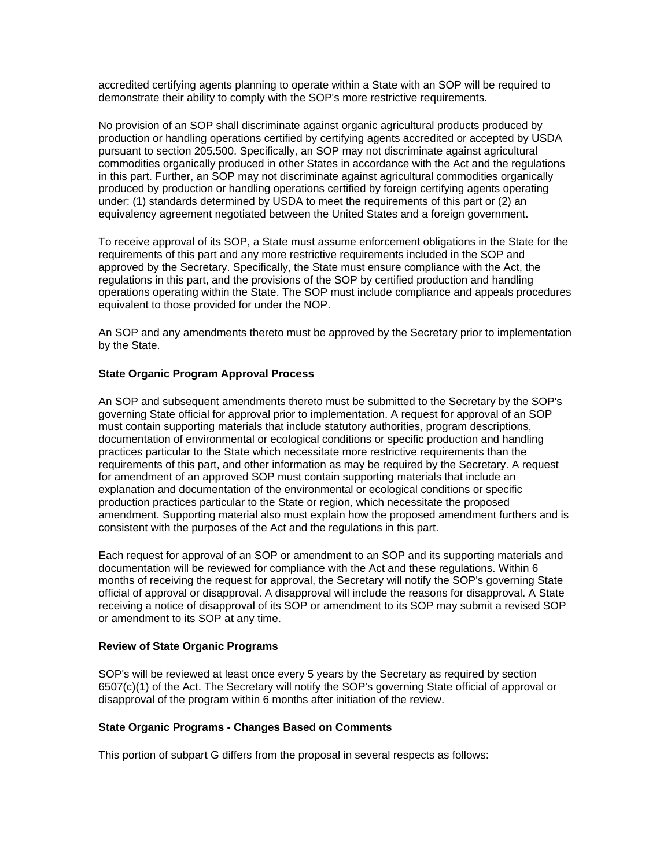accredited certifying agents planning to operate within a State with an SOP will be required to demonstrate their ability to comply with the SOP's more restrictive requirements.

No provision of an SOP shall discriminate against organic agricultural products produced by production or handling operations certified by certifying agents accredited or accepted by USDA pursuant to section 205.500. Specifically, an SOP may not discriminate against agricultural commodities organically produced in other States in accordance with the Act and the regulations in this part. Further, an SOP may not discriminate against agricultural commodities organically produced by production or handling operations certified by foreign certifying agents operating under: (1) standards determined by USDA to meet the requirements of this part or (2) an equivalency agreement negotiated between the United States and a foreign government.

To receive approval of its SOP, a State must assume enforcement obligations in the State for the requirements of this part and any more restrictive requirements included in the SOP and approved by the Secretary. Specifically, the State must ensure compliance with the Act, the regulations in this part, and the provisions of the SOP by certified production and handling operations operating within the State. The SOP must include compliance and appeals procedures equivalent to those provided for under the NOP.

An SOP and any amendments thereto must be approved by the Secretary prior to implementation by the State.

## **State Organic Program Approval Process**

An SOP and subsequent amendments thereto must be submitted to the Secretary by the SOP's governing State official for approval prior to implementation. A request for approval of an SOP must contain supporting materials that include statutory authorities, program descriptions, documentation of environmental or ecological conditions or specific production and handling practices particular to the State which necessitate more restrictive requirements than the requirements of this part, and other information as may be required by the Secretary. A request for amendment of an approved SOP must contain supporting materials that include an explanation and documentation of the environmental or ecological conditions or specific production practices particular to the State or region, which necessitate the proposed amendment. Supporting material also must explain how the proposed amendment furthers and is consistent with the purposes of the Act and the regulations in this part.

Each request for approval of an SOP or amendment to an SOP and its supporting materials and documentation will be reviewed for compliance with the Act and these regulations. Within 6 months of receiving the request for approval, the Secretary will notify the SOP's governing State official of approval or disapproval. A disapproval will include the reasons for disapproval. A State receiving a notice of disapproval of its SOP or amendment to its SOP may submit a revised SOP or amendment to its SOP at any time.

## **Review of State Organic Programs**

SOP's will be reviewed at least once every 5 years by the Secretary as required by section 6507(c)(1) of the Act. The Secretary will notify the SOP's governing State official of approval or disapproval of the program within 6 months after initiation of the review.

#### **State Organic Programs - Changes Based on Comments**

This portion of subpart G differs from the proposal in several respects as follows: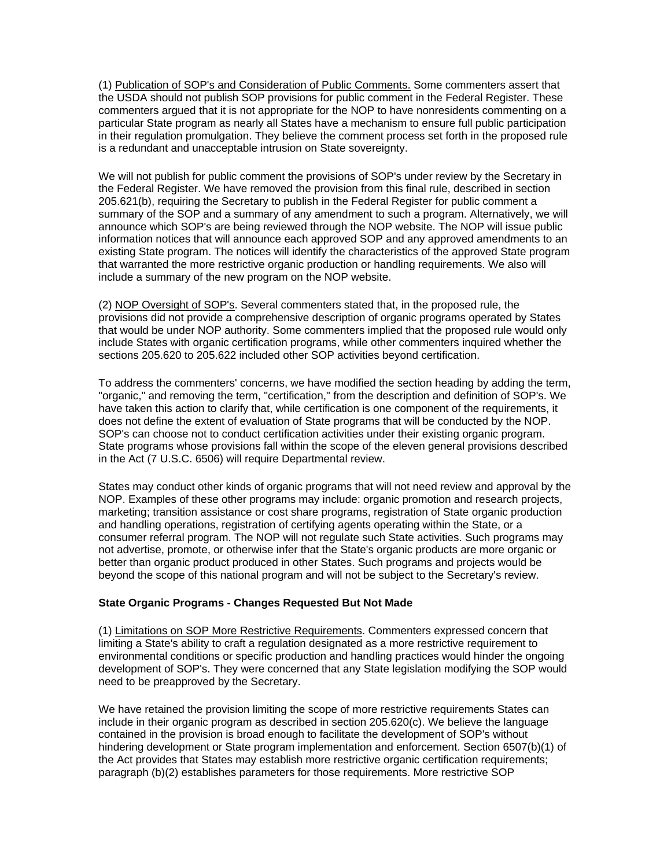(1) Publication of SOP's and Consideration of Public Comments. Some commenters assert that the USDA should not publish SOP provisions for public comment in the Federal Register. These commenters argued that it is not appropriate for the NOP to have nonresidents commenting on a particular State program as nearly all States have a mechanism to ensure full public participation in their regulation promulgation. They believe the comment process set forth in the proposed rule is a redundant and unacceptable intrusion on State sovereignty.

We will not publish for public comment the provisions of SOP's under review by the Secretary in the Federal Register. We have removed the provision from this final rule, described in section 205.621(b), requiring the Secretary to publish in the Federal Register for public comment a summary of the SOP and a summary of any amendment to such a program. Alternatively, we will announce which SOP's are being reviewed through the NOP website. The NOP will issue public information notices that will announce each approved SOP and any approved amendments to an existing State program. The notices will identify the characteristics of the approved State program that warranted the more restrictive organic production or handling requirements. We also will include a summary of the new program on the NOP website.

(2) NOP Oversight of SOP's. Several commenters stated that, in the proposed rule, the provisions did not provide a comprehensive description of organic programs operated by States that would be under NOP authority. Some commenters implied that the proposed rule would only include States with organic certification programs, while other commenters inquired whether the sections 205.620 to 205.622 included other SOP activities beyond certification.

To address the commenters' concerns, we have modified the section heading by adding the term, "organic," and removing the term, "certification," from the description and definition of SOP's. We have taken this action to clarify that, while certification is one component of the requirements, it does not define the extent of evaluation of State programs that will be conducted by the NOP. SOP's can choose not to conduct certification activities under their existing organic program. State programs whose provisions fall within the scope of the eleven general provisions described in the Act (7 U.S.C. 6506) will require Departmental review.

States may conduct other kinds of organic programs that will not need review and approval by the NOP. Examples of these other programs may include: organic promotion and research projects, marketing; transition assistance or cost share programs, registration of State organic production and handling operations, registration of certifying agents operating within the State, or a consumer referral program. The NOP will not regulate such State activities. Such programs may not advertise, promote, or otherwise infer that the State's organic products are more organic or better than organic product produced in other States. Such programs and projects would be beyond the scope of this national program and will not be subject to the Secretary's review.

## **State Organic Programs - Changes Requested But Not Made**

(1) Limitations on SOP More Restrictive Requirements. Commenters expressed concern that limiting a State's ability to craft a regulation designated as a more restrictive requirement to environmental conditions or specific production and handling practices would hinder the ongoing development of SOP's. They were concerned that any State legislation modifying the SOP would need to be preapproved by the Secretary.

We have retained the provision limiting the scope of more restrictive requirements States can include in their organic program as described in section 205.620(c). We believe the language contained in the provision is broad enough to facilitate the development of SOP's without hindering development or State program implementation and enforcement. Section 6507(b)(1) of the Act provides that States may establish more restrictive organic certification requirements; paragraph (b)(2) establishes parameters for those requirements. More restrictive SOP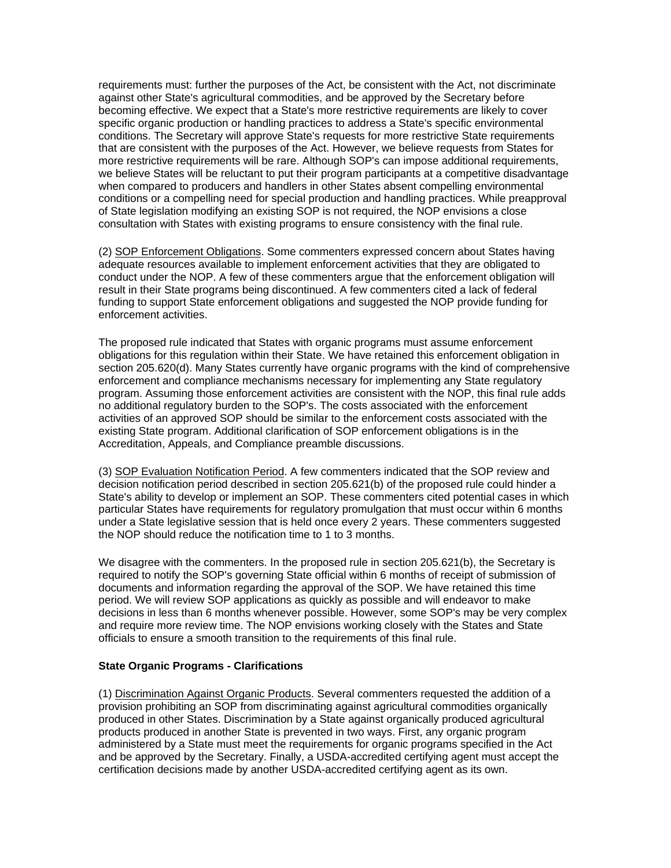requirements must: further the purposes of the Act, be consistent with the Act, not discriminate against other State's agricultural commodities, and be approved by the Secretary before becoming effective. We expect that a State's more restrictive requirements are likely to cover specific organic production or handling practices to address a State's specific environmental conditions. The Secretary will approve State's requests for more restrictive State requirements that are consistent with the purposes of the Act. However, we believe requests from States for more restrictive requirements will be rare. Although SOP's can impose additional requirements, we believe States will be reluctant to put their program participants at a competitive disadvantage when compared to producers and handlers in other States absent compelling environmental conditions or a compelling need for special production and handling practices. While preapproval of State legislation modifying an existing SOP is not required, the NOP envisions a close consultation with States with existing programs to ensure consistency with the final rule.

(2) SOP Enforcement Obligations. Some commenters expressed concern about States having adequate resources available to implement enforcement activities that they are obligated to conduct under the NOP. A few of these commenters argue that the enforcement obligation will result in their State programs being discontinued. A few commenters cited a lack of federal funding to support State enforcement obligations and suggested the NOP provide funding for enforcement activities.

The proposed rule indicated that States with organic programs must assume enforcement obligations for this regulation within their State. We have retained this enforcement obligation in section 205.620(d). Many States currently have organic programs with the kind of comprehensive enforcement and compliance mechanisms necessary for implementing any State regulatory program. Assuming those enforcement activities are consistent with the NOP, this final rule adds no additional regulatory burden to the SOP's. The costs associated with the enforcement activities of an approved SOP should be similar to the enforcement costs associated with the existing State program. Additional clarification of SOP enforcement obligations is in the Accreditation, Appeals, and Compliance preamble discussions.

(3) SOP Evaluation Notification Period. A few commenters indicated that the SOP review and decision notification period described in section 205.621(b) of the proposed rule could hinder a State's ability to develop or implement an SOP. These commenters cited potential cases in which particular States have requirements for regulatory promulgation that must occur within 6 months under a State legislative session that is held once every 2 years. These commenters suggested the NOP should reduce the notification time to 1 to 3 months.

We disagree with the commenters. In the proposed rule in section 205.621(b), the Secretary is required to notify the SOP's governing State official within 6 months of receipt of submission of documents and information regarding the approval of the SOP. We have retained this time period. We will review SOP applications as quickly as possible and will endeavor to make decisions in less than 6 months whenever possible. However, some SOP's may be very complex and require more review time. The NOP envisions working closely with the States and State officials to ensure a smooth transition to the requirements of this final rule.

## **State Organic Programs - Clarifications**

(1) Discrimination Against Organic Products. Several commenters requested the addition of a provision prohibiting an SOP from discriminating against agricultural commodities organically produced in other States. Discrimination by a State against organically produced agricultural products produced in another State is prevented in two ways. First, any organic program administered by a State must meet the requirements for organic programs specified in the Act and be approved by the Secretary. Finally, a USDA-accredited certifying agent must accept the certification decisions made by another USDA-accredited certifying agent as its own.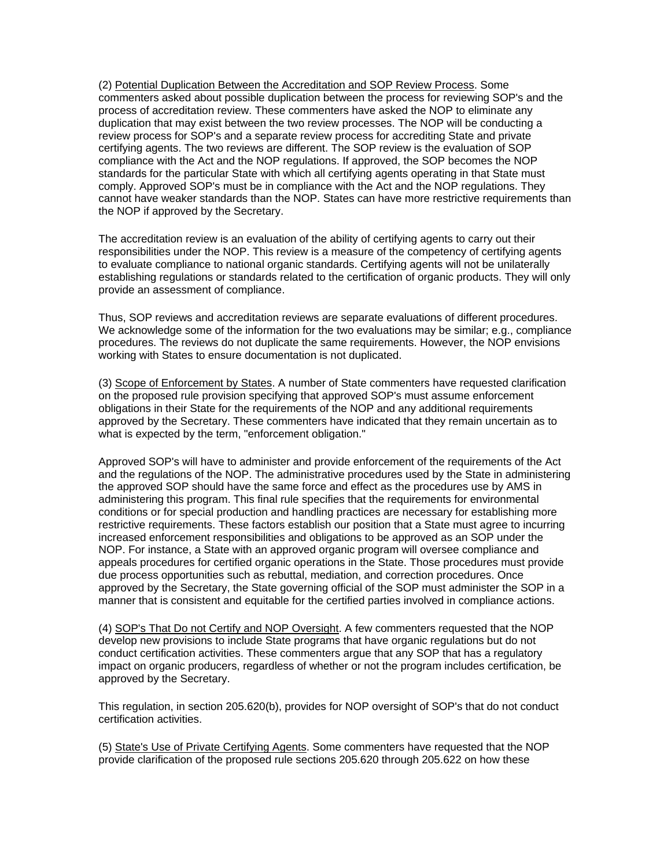(2) Potential Duplication Between the Accreditation and SOP Review Process. Some commenters asked about possible duplication between the process for reviewing SOP's and the process of accreditation review. These commenters have asked the NOP to eliminate any duplication that may exist between the two review processes. The NOP will be conducting a review process for SOP's and a separate review process for accrediting State and private certifying agents. The two reviews are different. The SOP review is the evaluation of SOP compliance with the Act and the NOP regulations. If approved, the SOP becomes the NOP standards for the particular State with which all certifying agents operating in that State must comply. Approved SOP's must be in compliance with the Act and the NOP regulations. They cannot have weaker standards than the NOP. States can have more restrictive requirements than the NOP if approved by the Secretary.

The accreditation review is an evaluation of the ability of certifying agents to carry out their responsibilities under the NOP. This review is a measure of the competency of certifying agents to evaluate compliance to national organic standards. Certifying agents will not be unilaterally establishing regulations or standards related to the certification of organic products. They will only provide an assessment of compliance.

Thus, SOP reviews and accreditation reviews are separate evaluations of different procedures. We acknowledge some of the information for the two evaluations may be similar; e.g., compliance procedures. The reviews do not duplicate the same requirements. However, the NOP envisions working with States to ensure documentation is not duplicated.

(3) Scope of Enforcement by States. A number of State commenters have requested clarification on the proposed rule provision specifying that approved SOP's must assume enforcement obligations in their State for the requirements of the NOP and any additional requirements approved by the Secretary. These commenters have indicated that they remain uncertain as to what is expected by the term, "enforcement obligation."

Approved SOP's will have to administer and provide enforcement of the requirements of the Act and the regulations of the NOP. The administrative procedures used by the State in administering the approved SOP should have the same force and effect as the procedures use by AMS in administering this program. This final rule specifies that the requirements for environmental conditions or for special production and handling practices are necessary for establishing more restrictive requirements. These factors establish our position that a State must agree to incurring increased enforcement responsibilities and obligations to be approved as an SOP under the NOP. For instance, a State with an approved organic program will oversee compliance and appeals procedures for certified organic operations in the State. Those procedures must provide due process opportunities such as rebuttal, mediation, and correction procedures. Once approved by the Secretary, the State governing official of the SOP must administer the SOP in a manner that is consistent and equitable for the certified parties involved in compliance actions.

(4) SOP's That Do not Certify and NOP Oversight. A few commenters requested that the NOP develop new provisions to include State programs that have organic regulations but do not conduct certification activities. These commenters argue that any SOP that has a regulatory impact on organic producers, regardless of whether or not the program includes certification, be approved by the Secretary.

This regulation, in section 205.620(b), provides for NOP oversight of SOP's that do not conduct certification activities.

(5) State's Use of Private Certifying Agents. Some commenters have requested that the NOP provide clarification of the proposed rule sections 205.620 through 205.622 on how these